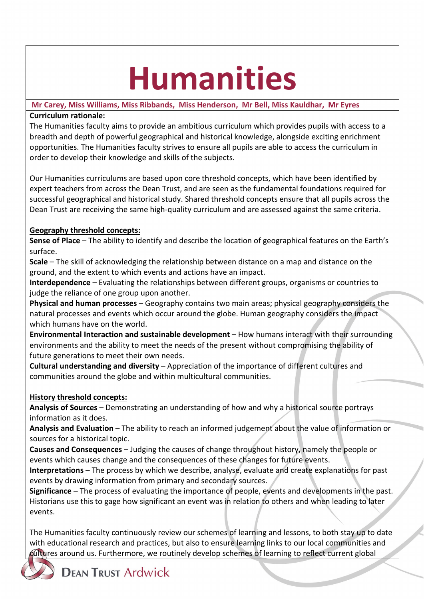# **Humanities**

### **Mr Carey, Miss Williams, Miss Ribbands, Miss Henderson, Mr Bell, Miss Kauldhar, Mr Eyres Curriculum rationale:**

The Humanities faculty aims to provide an ambitious curriculum which provides pupils with access to a breadth and depth of powerful geographical and historical knowledge, alongside exciting enrichment opportunities. The Humanities faculty strives to ensure all pupils are able to access the curriculum in order to develop their knowledge and skills of the subjects.

Our Humanities curriculums are based upon core threshold concepts, which have been identified by expert teachers from across the Dean Trust, and are seen as the fundamental foundations required for successful geographical and historical study. Shared threshold concepts ensure that all pupils across the Dean Trust are receiving the same high-quality curriculum and are assessed against the same criteria.

## **Geography threshold concepts:**

**Sense of Place** – The ability to identify and describe the location of geographical features on the Earth's surface.

**Scale** – The skill of acknowledging the relationship between distance on a map and distance on the ground, and the extent to which events and actions have an impact.

**Interdependence** – Evaluating the relationships between different groups, organisms or countries to judge the reliance of one group upon another.

**Physical and human processes** – Geography contains two main areas; physical geography considers the natural processes and events which occur around the globe. Human geography considers the impact which humans have on the world.

**Environmental Interaction and sustainable development** – How humans interact with their surrounding environments and the ability to meet the needs of the present without compromising the ability of future generations to meet their own needs.

**Cultural understanding and diversity** – Appreciation of the importance of different cultures and communities around the globe and within multicultural communities.

## **History threshold concepts:**

**Analysis of Sources** – Demonstrating an understanding of how and why a historical source portrays information as it does.

**Analysis and Evaluation** – The ability to reach an informed judgement about the value of information or sources for a historical topic.

**Causes and Consequences** – Judging the causes of change throughout history, namely the people or events which causes change and the consequences of these changes for future events.

**Interpretations** – The process by which we describe, analyse, evaluate and create explanations for past events by drawing information from primary and secondary sources.

**Significance** – The process of evaluating the importance of people, events and developments in the past. Historians use this to gage how significant an event was in relation to others and when leading to later events.

The Humanities faculty continuously review our schemes of learning and lessons, to both stay up to date with educational research and practices, but also to ensure learning links to our local communities and fultures around us. Furthermore, we routinely develop schemes of learning to reflect current global

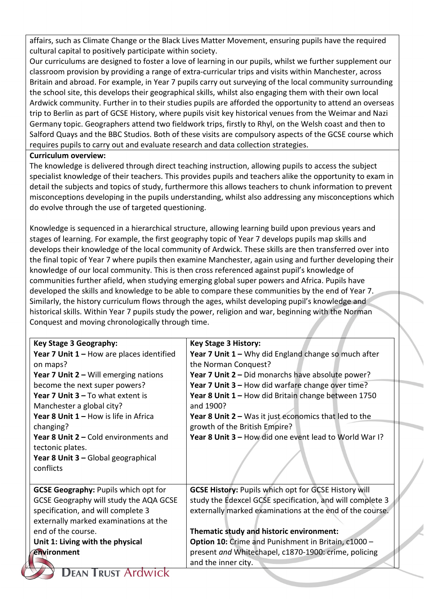affairs, such as Climate Change or the Black Lives Matter Movement, ensuring pupils have the required cultural capital to positively participate within society.

Our curriculums are designed to foster a love of learning in our pupils, whilst we further supplement our classroom provision by providing a range of extra-curricular trips and visits within Manchester, across Britain and abroad. For example, in Year 7 pupils carry out surveying of the local community surrounding the school site, this develops their geographical skills, whilst also engaging them with their own local Ardwick community. Further in to their studies pupils are afforded the opportunity to attend an overseas trip to Berlin as part of GCSE History, where pupils visit key historical venues from the Weimar and Nazi Germany topic. Geographers attend two fieldwork trips, firstly to Rhyl, on the Welsh coast and then to Salford Quays and the BBC Studios. Both of these visits are compulsory aspects of the GCSE course which requires pupils to carry out and evaluate research and data collection strategies.

#### **Curriculum overview:**

The knowledge is delivered through direct teaching instruction, allowing pupils to access the subject specialist knowledge of their teachers. This provides pupils and teachers alike the opportunity to exam in detail the subjects and topics of study, furthermore this allows teachers to chunk information to prevent misconceptions developing in the pupils understanding, whilst also addressing any misconceptions which do evolve through the use of targeted questioning.

Knowledge is sequenced in a hierarchical structure, allowing learning build upon previous years and stages of learning. For example, the first geography topic of Year 7 develops pupils map skills and develops their knowledge of the local community of Ardwick. These skills are then transferred over into the final topic of Year 7 where pupils then examine Manchester, again using and further developing their knowledge of our local community. This is then cross referenced against pupil's knowledge of communities further afield, when studying emerging global super powers and Africa. Pupils have developed the skills and knowledge to be able to compare these communities by the end of Year 7. Similarly, the history curriculum flows through the ages, whilst developing pupil's knowledge and historical skills. Within Year 7 pupils study the power, religion and war, beginning with the Norman Conquest and moving chronologically through time.

| Key Stage 3 Geography:                      | <b>Key Stage 3 History:</b>                                 |
|---------------------------------------------|-------------------------------------------------------------|
| Year 7 Unit $1 -$ How are places identified | Year 7 Unit $1 - W$ hy did England change so much after     |
|                                             |                                                             |
| on maps?                                    | the Norman Conquest?                                        |
| Year 7 Unit $2 -$ Will emerging nations     | Year 7 Unit 2 - Did monarchs have absolute power?           |
| become the next super powers?               | Year 7 Unit 3 - How did warfare change over time?           |
| Year 7 Unit 3 - To what extent is           | Year 8 Unit 1 - How did Britain change between 1750         |
| Manchester a global city?                   | and 1900?                                                   |
| Year 8 Unit 1 - How is life in Africa       | Year 8 Unit $2 - W$ as it just economics that led to the    |
| changing?                                   | growth of the British Empire?                               |
| Year 8 Unit 2 - Cold environments and       | Year 8 Unit 3 - How did one event lead to World War I?      |
| tectonic plates.                            |                                                             |
| Year 8 Unit 3 - Global geographical         |                                                             |
| conflicts                                   |                                                             |
|                                             |                                                             |
| <b>GCSE Geography: Pupils which opt for</b> | <b>GCSE History: Pupils which opt for GCSE History will</b> |
| GCSE Geography will study the AQA GCSE      | study the Edexcel GCSE specification, and will complete 3   |
| specification, and will complete 3          | externally marked examinations at the end of the course.    |
| externally marked examinations at the       |                                                             |
| end of the course.                          | Thematic study and historic environment:                    |
| Unit 1: Living with the physical            | Option 10: Crime and Punishment in Britain, c1000 -         |
| environment                                 | present and Whitechapel, c1870-1900: crime, policing        |
|                                             | and the inner city.                                         |